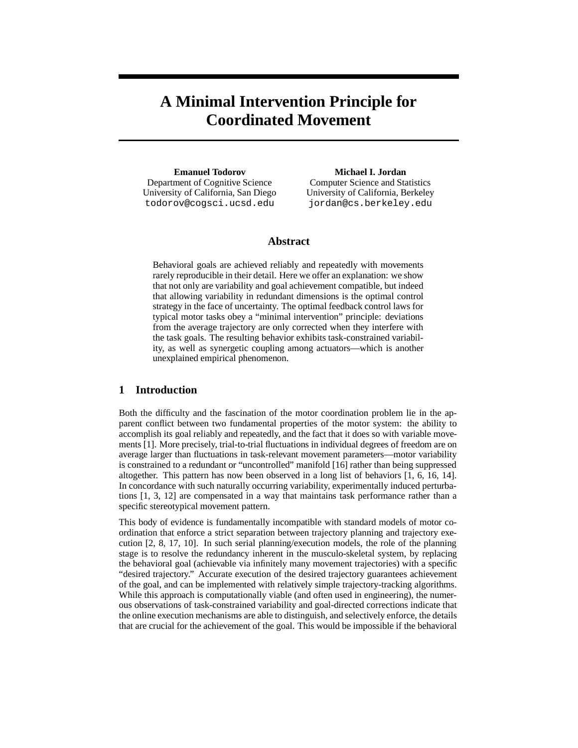# **A Minimal Intervention Principle for Coordinated Movement**

**Emanuel Todorov** Department of Cognitive Science University of California, San Diego todorov@cogsci.ucsd.edu

#### **Michael I. Jordan**

Computer Science and Statistics University of California, Berkeley jordan@cs.berkeley.edu

## **Abstract**

Behavioral goals are achieved reliably and repeatedly with movements rarely reproducible in their detail. Here we offer an explanation: we show that not only are variability and goal achievement compatible, but indeed that allowing variability in redundant dimensions is the optimal control strategy in the face of uncertainty. The optimal feedback control laws for typical motor tasks obey a "minimal intervention" principle: deviations from the average trajectory are only corrected when they interfere with the task goals. The resulting behavior exhibits task-constrained variability, as well as synergetic coupling among actuators—which is another unexplained empirical phenomenon.

# **1 Introduction**

Both the difficulty and the fascination of the motor coordination problem lie in the apparent conflict between two fundamental properties of the motor system: the ability to accomplish its goal reliably and repeatedly, and the fact that it does so with variable movements [1]. More precisely, trial-to-trial fluctuations in individual degrees of freedom are on average larger than fluctuations in task-relevant movement parameters—motor variability is constrained to a redundant or "uncontrolled" manifold [16] rather than being suppressed altogether. This pattern has now been observed in a long list of behaviors [1, 6, 16, 14]. In concordance with such naturally occurring variability, experimentally induced perturbations [1, 3, 12] are compensated in a way that maintains task performance rather than a specific stereotypical movement pattern.

This body of evidence is fundamentally incompatible with standard models of motor coordination that enforce a strict separation between trajectory planning and trajectory execution [2, 8, 17, 10]. In such serial planning/execution models, the role of the planning stage is to resolve the redundancy inherent in the musculo-skeletal system, by replacing the behavioral goal (achievable via infinitely many movement trajectories) with a specific "desired trajectory." Accurate execution of the desired trajectory guarantees achievement of the goal, and can be implemented with relatively simple trajectory-tracking algorithms. While this approach is computationally viable (and often used in engineering), the numerous observations of task-constrained variability and goal-directed corrections indicate that the online execution mechanisms are able to distinguish, and selectively enforce, the details that are crucial for the achievement of the goal. This would be impossible if the behavioral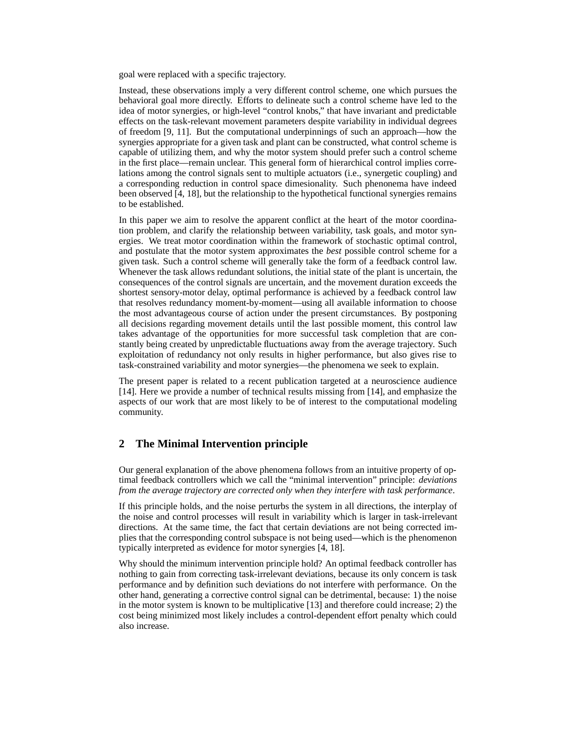goal were replaced with a specific trajectory.

Instead, these observations imply a very different control scheme, one which pursues the behavioral goal more directly. Efforts to delineate such a control scheme have led to the idea of motor synergies, or high-level "control knobs," that have invariant and predictable effects on the task-relevant movement parameters despite variability in individual degrees of freedom [9, 11]. But the computational underpinnings of such an approach—how the synergies appropriate for a given task and plant can be constructed, what control scheme is capable of utilizing them, and why the motor system should prefer such a control scheme in the first place—remain unclear. This general form of hierarchical control implies correlations among the control signals sent to multiple actuators (i.e., synergetic coupling) and a corresponding reduction in control space dimesionality. Such phenonema have indeed been observed [4, 18], but the relationship to the hypothetical functional synergies remains to be established.

In this paper we aim to resolve the apparent conflict at the heart of the motor coordination problem, and clarify the relationship between variability, task goals, and motor synergies. We treat motor coordination within the framework of stochastic optimal control, and postulate that the motor system approximates the *best* possible control scheme for a given task. Such a control scheme will generally take the form of a feedback control law. Whenever the task allows redundant solutions, the initial state of the plant is uncertain, the consequences of the control signals are uncertain, and the movement duration exceeds the shortest sensory-motor delay, optimal performance is achieved by a feedback control law that resolves redundancy moment-by-moment—using all available information to choose the most advantageous course of action under the present circumstances. By postponing all decisions regarding movement details until the last possible moment, this control law takes advantage of the opportunities for more successful task completion that are constantly being created by unpredictable fluctuations away from the average trajectory. Such exploitation of redundancy not only results in higher performance, but also gives rise to task-constrained variability and motor synergies—the phenomena we seek to explain.

The present paper is related to a recent publication targeted at a neuroscience audience [14]. Here we provide a number of technical results missing from [14], and emphasize the aspects of our work that are most likely to be of interest to the computational modeling community.

# **2 The Minimal Intervention principle**

Our general explanation of the above phenomena follows from an intuitive property of optimal feedback controllers which we call the "minimal intervention" principle: *deviations from the average trajectory are corrected only when they interfere with task performance*.

If this principle holds, and the noise perturbs the system in all directions, the interplay of the noise and control processes will result in variability which is larger in task-irrelevant directions. At the same time, the fact that certain deviations are not being corrected implies that the corresponding control subspace is not being used—which is the phenomenon typically interpreted as evidence for motor synergies [4, 18].

Why should the minimum intervention principle hold? An optimal feedback controller has nothing to gain from correcting task-irrelevant deviations, because its only concern is task performance and by definition such deviations do not interfere with performance. On the other hand, generating a corrective control signal can be detrimental, because: 1) the noise in the motor system is known to be multiplicative [13] and therefore could increase; 2) the cost being minimized most likely includes a control-dependent effort penalty which could also increase.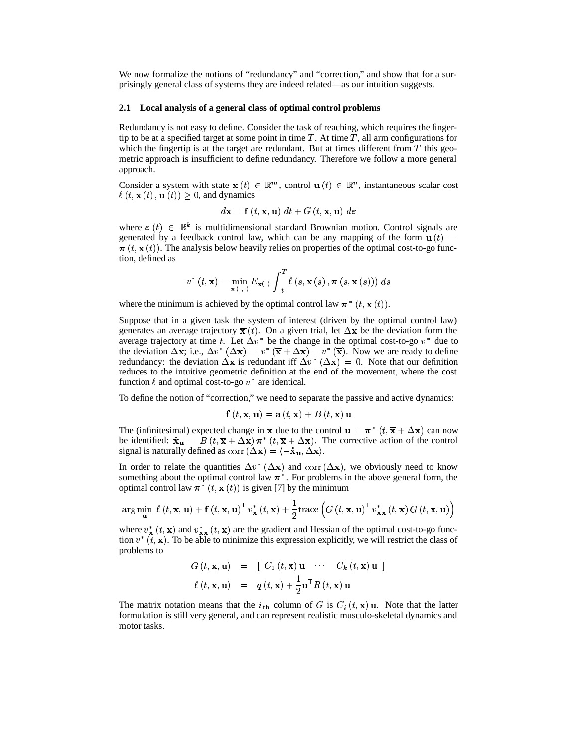We now formalize the notions of "redundancy" and "correction," and show that for a surprisingly general class of systems they are indeed related—as our intuition suggests.

#### **2.1 Local analysis of a general class of optimal control problems**

Redundancy is not easy to define. Consider the task of reaching, which requires the fingertip to be at a specified target at some point in time  $T$ . At time  $T$ , all arm configurations for which the fingertip is at the target are redundant. But at times different from  $T$  this geometric approach is insufficient to define redundancy. Therefore we follow a more general approach.

Consider a system with state  $\mathbf{x}(t) \in \mathbb{R}^m$ , control  $\mathbf{u}(t) \in \mathbb{R}^n$ , instantaneous scalar cost  $\ell(t, \mathbf{x}(t), \mathbf{u}(t)) \geq 0$ , and dynamics

$$
d\mathbf{x} = \mathbf{f}\left(t, \mathbf{x}, \mathbf{u}\right) \, dt + G\left(t, \mathbf{x}, \mathbf{u}\right) \, d\varepsilon
$$

where  $\varepsilon$  (*t*)  $\in \mathbb{R}^k$  is multidimensional standard Brownian motion. Control signals are generated by a feedback control law, which can be any mapping of the form  $\mathbf{u}(t) =$  $\pi(t, \mathbf{x}(t))$ . The analysis below heavily relies on properties of the optimal cost-to-go function, defined as

$$
v^*\left(t,\mathbf{x}\right)=\min_{\boldsymbol{\pi}\left(\cdot,\cdot\right)}E_{\mathbf{x}\left(\cdot\right)}\int_{t}^{T}\ell\left(s,\mathbf{x}\left(s\right),\boldsymbol{\pi}\left(s,\mathbf{x}\left(s\right)\right)\right)\,ds
$$

where the minimum is achieved by the optimal control law  $\pi^*(t, \mathbf{x}(t))$ .

Suppose that in a given task the system of interest (driven by the optimal control law) generates an average trajectory  $\bar{\mathbf{x}}(t)$ . On a given trial, let  $\Delta \mathbf{x}$  be the deviation form the average trajectory at time t. Let  $\Delta v^*$  be the change in the optimal cost-to-go  $v^*$  due to the deviation  $\Delta \mathbf{x}$ ; i.e.,  $\Delta v^* (\Delta \mathbf{x}) = v^* (\overline{\mathbf{x}} + \Delta \mathbf{x}) - v^* (\overline{\mathbf{x}})$ . Now we are ready to define redundancy: the deviation  $\Delta x$  is redundant iff  $\Delta v^* (\Delta x) = 0$ . Note that our definition reduces to the intuitive geometric definition at the end of the movement, where the cost function  $\ell$  and optimal cost-to-go  $v^*$  are identical.

To define the notion of "correction," we need to separate the passive and active dynamics:

$$
\mathbf{f}\left(t,\mathbf{x},\mathbf{u}\right) = \mathbf{a}\left(t,\mathbf{x}\right) + B\left(t,\mathbf{x}\right)\mathbf{u}
$$

The (infinitesimal) expected change in **x** due to the control  $\mathbf{u} = \pi^* (t, \overline{\mathbf{x}} + \Delta \mathbf{x})$  can now be identified:  $\dot{\mathbf{x}}_{\mathbf{u}} = B(t, \overline{\mathbf{x}} + \Delta \mathbf{x}) \boldsymbol{\pi}^* (t, \overline{\mathbf{x}} + \Delta \mathbf{x})$ . The corrective action of the control signal is naturally defined as  $\text{corr}(\Delta x) = \langle -\dot{x}_{\mathbf{u}}, \Delta x \rangle$ .

In order to relate the quantities  $\Delta v^* (\Delta x)$  and corr  $(\Delta x)$ , we obviously need to know something about the optimal control law  $\pi^*$ . For problems in the above general form, the optimal control law  $\pi^*(t, \mathbf{x}(t))$  is given [7] by the minimum

$$
\arg\min_{\mathbf{u}} \ell(t, \mathbf{x}, \mathbf{u}) + \mathbf{f}(t, \mathbf{x}, \mathbf{u})^{\mathsf{T}} v_{\mathbf{x}}^{*}(t, \mathbf{x}) + \frac{1}{2} \text{trace}\left(G(t, \mathbf{x}, \mathbf{u})^{\mathsf{T}} v_{\mathbf{x}\mathbf{x}}^{*}(t, \mathbf{x}) G(t, \mathbf{x}, \mathbf{u})\right)
$$

where  $v_x^*(t, \mathbf{x})$  and  $v_{xx}^*(t, \mathbf{x})$  are the gradient and Hessian of the optimal cost-to-go function  $v^*(t, \mathbf{x})$ . To be able to minimize this expression explicitly, we will restrict the class of problems to

$$
G(t, \mathbf{x}, \mathbf{u}) = [C_1(t, \mathbf{x}) \mathbf{u} \cdots C_k(t, \mathbf{x}) \mathbf{u}]
$$
  

$$
\ell(t, \mathbf{x}, \mathbf{u}) = q(t, \mathbf{x}) + \frac{1}{2} \mathbf{u}^{\mathsf{T}} R(t, \mathbf{x}) \mathbf{u}
$$

The matrix notation means that the  $i_{th}$  column of G is  $C_i(t, \mathbf{x})$  u. Note that the latter formulation is still very general, and can represent realistic musculo-skeletal dynamics and motor tasks.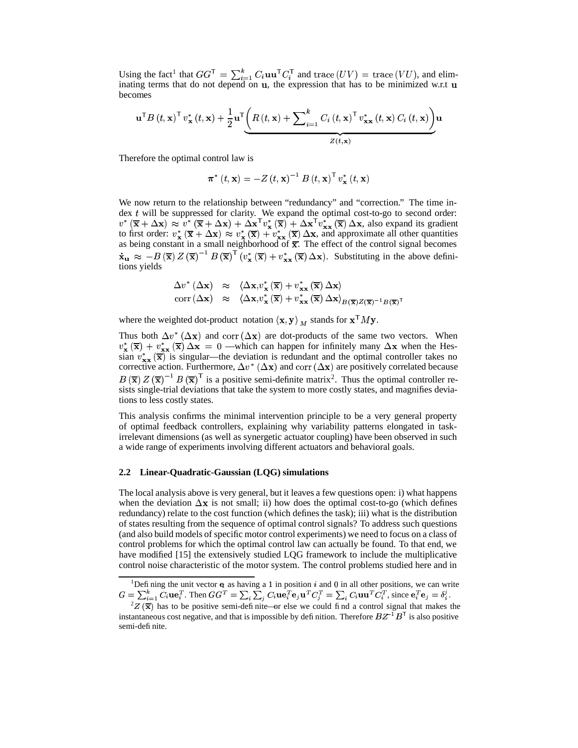Using the fact<sup>1</sup> that  $GG^{\mathsf{T}} = \sum_{i=1}^{k} C_i \mathbf{u} \mathbf{u}^{\mathsf{T}} C_i^{\mathsf{T}}$  and trace  $(UV) = \text{trace}(VU)$ , and eliminating terms that do not depend on  $\bf{u}$ , the expression that has to be minimized w.r.t  $\bf{u}$ becomes

$$
\mathbf{u}^{\mathsf{T}}B\left(t,\mathbf{x}\right)^{\mathsf{T}}v_{\mathbf{x}}^{*}\left(t,\mathbf{x}\right)+\frac{1}{2}\mathbf{u}^{\mathsf{T}}\underbrace{\left(R\left(t,\mathbf{x}\right)+\sum\nolimits_{i=1}^{k}C_{i}\left(t,\mathbf{x}\right)^{\mathsf{T}}v_{\mathbf{x}\mathbf{x}}^{*}\left(t,\mathbf{x}\right)C_{i}\left(t,\mathbf{x}\right)\right)}_{Z\left(t,\mathbf{x}\right)}
$$

Therefore the optimal control law is

$$
\boldsymbol{\pi}^{*}\left(t,\mathbf{x}\right)=-Z\left(t,\mathbf{x}\right)^{-1}B\left(t,\mathbf{x}\right)^{{\sf T}}\boldsymbol{v}_{\mathbf{x}}^{*}\left(t,\mathbf{x}\right)
$$

We now return to the relationship between "redundancy" and "correction." The time index  $t$  will be suppressed for clarity. We expand the optimal cost-to-go to second order:  $v^* (\overline{\mathbf{x}} + \Delta \mathbf{x}) \approx v^* (\overline{\mathbf{x}} + \Delta \mathbf{x}) + \Delta \mathbf{x}^{\mathsf{T}} v_{\mathbf{x}}^* (\overline{\mathbf{x}}) + \Delta \mathbf{x}^{\mathsf{T}} v_{\mathbf{x}}^* (\overline{\mathbf{x}}) \Delta \mathbf{x}$ , also expand its gradient to first order:  $v_x^* (\overline{x} + \Delta x) \approx v_x^* (\overline{x}) + v_{xx}^* (\overline{x}) \Delta x$ , and approximate all other quantities as being constant in a small neighborhood of  $\overline{x}$ . The effect of the control signal becomes  $\dot{\mathbf{x}}_{\mathbf{u}} \approx -B(\overline{\mathbf{x}}) Z(\overline{\mathbf{x}})^{-1} B(\overline{\mathbf{x}})^{\top} (v_{\mathbf{x}}^{*} (\overline{\mathbf{x}}) + v_{\mathbf{x}\mathbf{x}}^{*} (\overline{\mathbf{x}}) \Delta \mathbf{x}).$  Substituting in the above definitions yields

$$
\Delta v^* (\Delta \mathbf{x}) \approx \langle \Delta \mathbf{x}, v^*_{\mathbf{x}} (\overline{\mathbf{x}}) + v^*_{\mathbf{x} \mathbf{x}} (\overline{\mathbf{x}}) \Delta \mathbf{x} \rangle \n\operatorname{corr} (\Delta \mathbf{x}) \approx \langle \Delta \mathbf{x}, v^*_{\mathbf{x}} (\overline{\mathbf{x}}) + v^*_{\mathbf{x} \mathbf{x}} (\overline{\mathbf{x}}) \Delta \mathbf{x} \rangle_{B(\overline{\mathbf{x}})Z(\overline{\mathbf{x}})^{-1}B(\overline{\mathbf{x}})^{\mathsf{T}}}
$$

where the weighted dot-product notation  $\langle x, y \rangle_M$  stands for  $x^{\mathsf{T}}My$ .

Thus both  $\Delta v^* (\Delta x)$  and corr  $(\Delta x)$  are dot-products of the same two vectors. When  $v_{\mathbf{x}}^*(\overline{\mathbf{x}}) + v_{\mathbf{x}}^*(\overline{\mathbf{x}}) \Delta \mathbf{x} = 0$  —which can happen for infinitely many  $\Delta \mathbf{x}$  when the Hessian  $v_{xx}^*(\overline{x})$  is singular—the deviation is redundant and the optimal controller takes no corrective action. Furthermore,  $\Delta v^*$  ( $\Delta x$ ) and corr ( $\Delta x$ ) are positively correlated because  $B(\overline{x}) Z(\overline{x})^{-1} B(\overline{x})^{\mathsf{T}}$  is a positive semi-definite matrix<sup>2</sup>. Thus the optimal controller resists single-trial deviations that take the system to more costly states, and magnifies deviations to less costly states.

This analysis confirms the minimal intervention principle to be a very general property of optimal feedback controllers, explaining why variability patterns elongated in taskirrelevant dimensions (as well as synergetic actuator coupling) have been observed in such a wide range of experiments involving different actuators and behavioral goals.

#### **2.2 Linear-Quadratic-Gaussian (LQG) simulations**

The local analysis above is very general, but it leaves a few questions open: i) what happens when the deviation  $\Delta x$  is not small; ii) how does the optimal cost-to-go (which defines redundancy) relate to the cost function (which defines the task); iii) what is the distribution of states resulting from the sequence of optimal control signals? To address such questions (and also build models of specific motor control experiments) we need to focus on a class of control problems for which the optimal control law can actually be found. To that end, we have modified [15] the extensively studied LQG framework to include the multiplicative control noise characteristic of the motor system. The control problems studied here and in

<sup>&</sup>lt;sup>1</sup>Defining the unit vector  $\bf{e}_i$  as having a 1 in position i and 0 in all other positions, we can write  $G = \sum_{i=1}^k C_i \mathbf{u} \mathbf{e}_i^T$ . Then  $GG^T = \sum_i \sum_i C_i \mathbf{u} \mathbf{e}_i^T \mathbf{e}_j \mathbf{u}^T C_i^T =$  $\mathbf{u}^T C_i^T = \sum_i C_i \mathbf{u} \mathbf{u}^T C_i^T$ , since  $\mathbf{e}_i^T \mathbf{e}_j = \delta_i^j$ .

 $2Z(\bar{x})$  has to be positive semi-definite—or else we could find a control signal that makes the instantaneous cost negative, and that is impossible by definition. Therefore  $BZ^{-1}B^{T}$  is also positive semi-definite.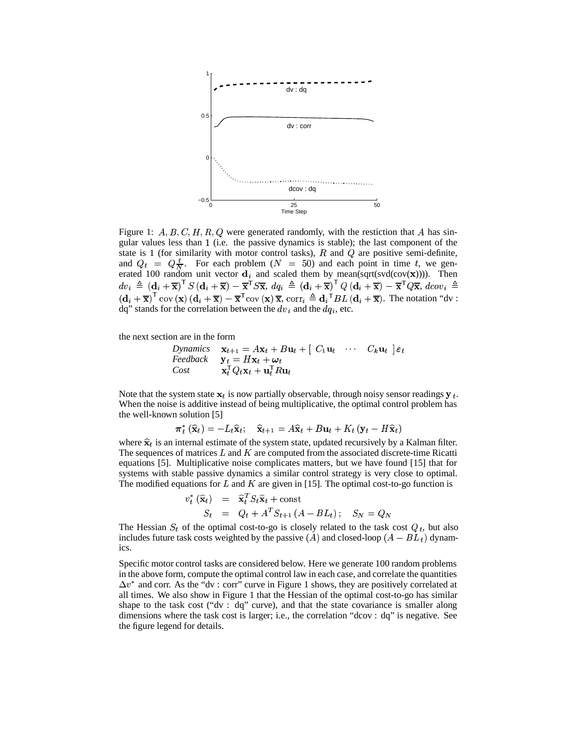

Figure 1:  $A, B, C, H, R, Q$  were generated randomly, with the restiction that A has singular values less than (i.e. the passive dynamics is stable); the last component of the state is 1 (for similarity with motor control tasks),  $R$  and  $Q$  are positive semi-definite, and  $Q_t = Q_{\overline{N}}^t$ . For each problem  $(N = 50)$  and each point in time t, we generated 100 random unit vector  $\mathbf{d}_i$  and scaled them by mean(sqrt(svd(cov(x)))). Then<br>  $dv_i \triangleq (\mathbf{d}_i + \overline{\mathbf{x}})^T S (\mathbf{d}_i + \overline{\mathbf{x}}) - \overline{\mathbf{x}}^T S \overline{\mathbf{x}}, dq_i \triangleq (\mathbf{d}_i + \overline{\mathbf{x}})^T Q (\mathbf{d}_i + \overline{\mathbf{x}}) - \overline{\mathbf{x}}^T Q \overline{\mathbf{x}}, d\text{cov}_i \$  $(d_i + \overline{x})^{\top}$  cov  $(\overline{x}) (d_i + \overline{x}) - \overline{x}^{\top}$ cov  $(\overline{x}) \overline{x}$ , corr $_i \triangleq d_i^{\top} BL (d_i + \overline{x})$ . The notation "dv : dq" stands for the correlation between the  $dv_i$  and the  $dq_i$ , etc.

the next section are in the form

*Dynamics* 
$$
\mathbf{x}_{t+1} = A\mathbf{x}_t + B\mathbf{u}_t + [C_1\mathbf{u}_t \cdots C_k\mathbf{u}_t] \varepsilon_t
$$
  
 *feedback*  $\mathbf{y}_t = H\mathbf{x}_t + \boldsymbol{\omega}_t$   
  $\text{Cost}$   $\mathbf{x}_t^{\mathsf{T}} Q_t \mathbf{x}_t + \mathbf{u}_t^{\mathsf{T}} R \mathbf{u}_t$ 

Note that the system state  $x_t$  is now partially observable, through noisy sensor readings  $y_t$ . When the noise is additive instead of being multiplicative, the optimal control problem has the well-known solution [5]

$$
\boldsymbol{\pi}_{t}^{*}\left(\widehat{\mathbf{x}}_{t}\right)=-L_{t}\widehat{\mathbf{x}}_{t};\quad\widehat{\mathbf{x}}_{t+1}=A\widehat{\mathbf{x}}_{t}+B\mathbf{u}_{t}+K_{t}\left(\mathbf{y}_{t}-H\widehat{\mathbf{x}}_{t}\right)
$$

where  $\hat{\mathbf{x}}_t$  is an internal estimate of the system state, updated recursively by a Kalman filter. The sequences of matrices  $L$  and  $K$  are computed from the associated discrete-time Ricatti equations [5]. Multiplicative noise complicates matters, but we have found [15] that for systems with stable passive dynamics a similar control strategy is very close to optimal. The modified equations for  $L$  and  $K$  are given in [15]. The optimal cost-to-go function is

$$
v_t^* (\hat{\mathbf{x}}_t) = \hat{\mathbf{x}}_t^T S_t \hat{\mathbf{x}}_t + \text{const}
$$
  

$$
S_t = Q_t + A^T S_{t+1} (A - BL_t); \quad S_N = Q_N
$$

The Hessian  $S_t$  of the optimal cost-to-go is closely related to the task cost  $Q_t$ , but also includes future task costs weighted by the passive  $(A)$  and closed-loop  $(A - BL_t)$  dynamics.

Specific motor control tasks are considered below. Here we generate 100 random problems in the above form, compute the optimal control law in each case, and correlate the quantities  $\Delta v^*$  and corr. As the "dv : corr" curve in Figure 1 shows, they are positively correlated at all times. We also show in Figure 1 that the Hessian of the optimal cost-to-go has similar shape to the task cost ("dv : dq" curve), and that the state covariance is smaller along dimensions where the task cost is larger; i.e., the correlation "dcov : dq" is negative. See the figure legend for details.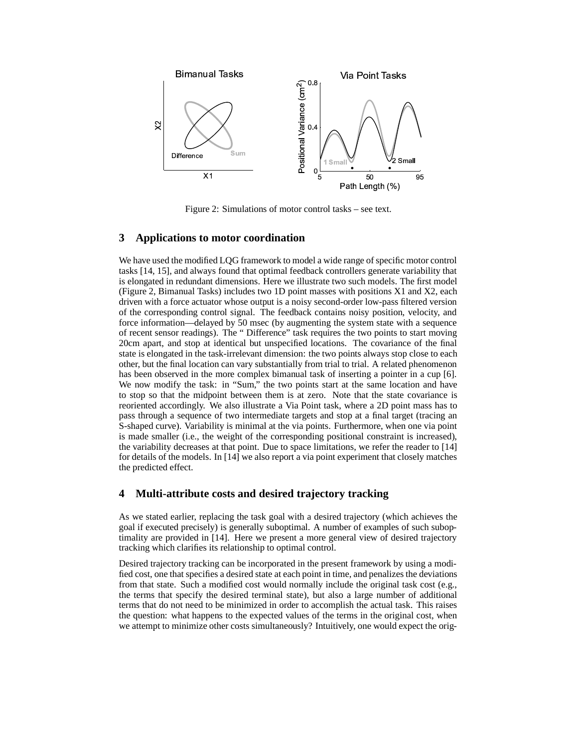

Figure 2: Simulations of motor control tasks – see text.

# **3 Applications to motor coordination**

We have used the modified LQG framework to model a wide range of specific motor control tasks [14, 15], and always found that optimal feedback controllers generate variability that is elongated in redundant dimensions. Here we illustrate two such models. The first model (Figure 2, Bimanual Tasks) includes two 1D point masses with positions X1 and X2, each driven with a force actuator whose output is a noisy second-order low-pass filtered version of the corresponding control signal. The feedback contains noisy position, velocity, and force information—delayed by 50 msec (by augmenting the system state with a sequence of recent sensor readings). The " Difference" task requires the two points to start moving 20cm apart, and stop at identical but unspecified locations. The covariance of the final state is elongated in the task-irrelevant dimension: the two points always stop close to each other, but the final location can vary substantially from trial to trial. A related phenomenon has been observed in the more complex bimanual task of inserting a pointer in a cup [6]. We now modify the task: in "Sum," the two points start at the same location and have to stop so that the midpoint between them is at zero. Note that the state covariance is reoriented accordingly. We also illustrate a Via Point task, where a 2D point mass has to pass through a sequence of two intermediate targets and stop at a final target (tracing an S-shaped curve). Variability is minimal at the via points. Furthermore, when one via point is made smaller (i.e., the weight of the corresponding positional constraint is increased), the variability decreases at that point. Due to space limitations, we refer the reader to [14] for details of the models. In [14] we also report a via point experiment that closely matches the predicted effect.

### **4 Multi-attribute costs and desired trajectory tracking**

As we stated earlier, replacing the task goal with a desired trajectory (which achieves the goal if executed precisely) is generally suboptimal. A number of examples of such suboptimality are provided in [14]. Here we present a more general view of desired trajectory tracking which clarifies its relationship to optimal control.

Desired trajectory tracking can be incorporated in the present framework by using a modified cost, one that specifies a desired state at each point in time, and penalizes the deviations from that state. Such a modified cost would normally include the original task cost (e.g., the terms that specify the desired terminal state), but also a large number of additional terms that do not need to be minimized in order to accomplish the actual task. This raises the question: what happens to the expected values of the terms in the original cost, when we attempt to minimize other costs simultaneously? Intuitively, one would expect the orig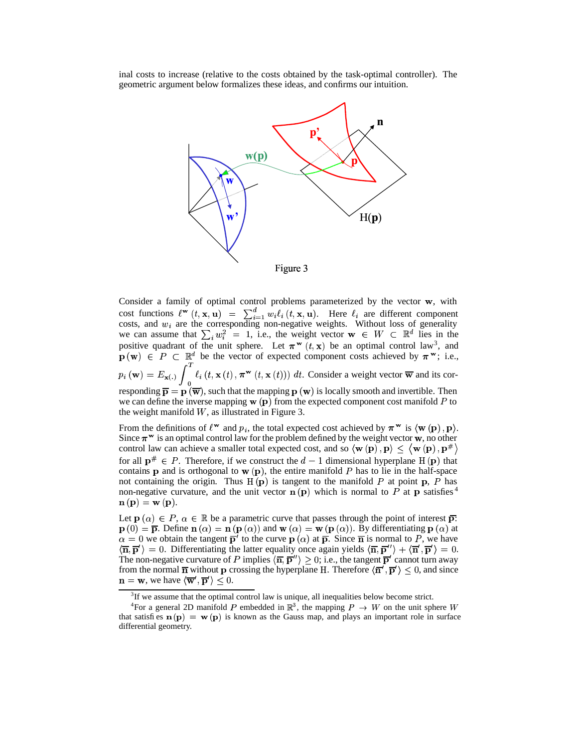inal costs to increase (relative to the costs obtained by the task-optimal controller). The geometric argument below formalizes these ideas, and confirms our intuition.



Figure 3

Consider a family of optimal control problems parameterized by the vector  $\mathbf{w}$ , with cost functions  $\ell^{\mathbf{w}}(t, \mathbf{x}, \mathbf{u}) = \sum_{i=1}^{n} w_i \ell_i(t, \mathbf{x}, \mathbf{u})$ . Here  $\ell_i$  are different component costs, and  $w_i$  are the corresponding non-negative weights. Without loss of generality we can assume that  $\sum_i w_i^2 = 1$ , i.e., the weight vector  $\mathbf{w} \in W \subset \mathbb{R}^d$  lies in the positive quadrant of the unit sphere. Let  $\pi^{\mathbf{w}}(t, \mathbf{x})$  be an optimal control law<sup>3</sup>, and  $\mathbf{p}(\mathbf{w}) \in P \subset \mathbb{R}^d$  be the vector of expected component costs achieved by  $\pi^{\mathbf{w}}$ ; i.e.,  $p_i(\mathbf{w}) = E_{\mathbf{x}(\cdot)} \int e^{i(t, \mathbf{x}(t))},$  $\ell_i(t, \mathbf{x}(t), \pi^{\mathbf{w}}(t, \mathbf{x}(t))) dt$ . Consider a weight vector  $\overline{\mathbf{w}}$  and its corresponding  $\bar{p} = p(\bar{w})$ , such that the mapping  $p(w)$  is locally smooth and invertible. Then we can define the inverse mapping  $\bf{w}$  ( $\bf{p}$ ) from the expected component cost manifold P to the weight manifold  $W$ , as illustrated in Figure 3.

From the definitions of  $\ell^{\mathbf{w}}$  and  $p_i$ , the total expected cost achieved by  $\pi^{\mathbf{w}}$  is  $\langle \mathbf{w}(\mathbf{p}), \mathbf{p} \rangle$ . Since  $\pi^w$  is an optimal control law for the problem defined by the weight vector  $w$ , no other control law can achieve a smaller total expected cost, and so  $\langle w(p), p \rangle \le \langle w(p), p^* \rangle$ for all  $\mathbf{p}^{\#} \in P$ . Therefore, if we construct the  $d-1$  dimensional hyperplane H  $(\mathbf{p})$  that contains **p** and is orthogonal to  $\bf{w}$  (**p**), the entire manifold P has to lie in the half-space not containing the origin. Thus  $H(p)$  is tangent to the manifold P at point p, P has non-negative curvature, and the unit vector  $\mathbf{n}(\mathbf{p})$  which is normal to  $\overline{P}$  at  $\mathbf{p}$  satisfies  $^4$  $\mathbf{n} \left( \mathbf{p} \right) = \mathbf{w} \left( \mathbf{p} \right).$ 

Let  $\mathbf{p}(\alpha) \in P$ ,  $\alpha \in \mathbb{R}$  be a parametric curve that passes through the point of interest  $\overline{\mathbf{p}}$ :  $\mathbf{p}(0) = \overline{\mathbf{p}}$ . Define  $\mathbf{n}(\alpha) = \mathbf{n}(\mathbf{p}(\alpha))$  and  $\mathbf{w}(\alpha) = \mathbf{w}(\mathbf{p}(\alpha))$ . By differentiating  $\mathbf{p}(\alpha)$  at  $\alpha = 0$  we obtain the tangent  $\overline{p}'$  to the curve  $p(\alpha)$  at  $\overline{p}$ . Since  $\overline{n}$  is normal to P, we have  $\langle \overline{\mathbf{n}}, \overline{\mathbf{p}}' \rangle = 0$ . Differentiating the latter equality once again yields  $\langle \overline{\mathbf{n}}, \overline{\mathbf{p}}'' \rangle + \langle \overline{\mathbf{n}}', \overline{\mathbf{p}}' \rangle = 0$ . The non-negative curvature of P implies  $\langle \overline{n}, \overline{p}' \rangle \ge 0$ ; i.e., the tangent  $\overline{p}'$  cannot turn away from the normal  $\overline{n}$  without p crossing the hyperplane H. Therefore  $\langle \overline{n}', \overline{p}' \rangle \leq 0$ , and since  $\mathbf{n} = \mathbf{w}$ , we have  $\langle \overline{\mathbf{w}}', \overline{\mathbf{p}}' \rangle \leq 0$ .

 $3$ If we assume that the optimal control law is unique, all inequalities below become strict.

<sup>&</sup>lt;sup>4</sup>For a general 2D manifold P embedded in  $\mathbb{R}^3$ , the mapping  $P \to W$  on the unit sphere W that satisfies  $\mathbf{n}(\mathbf{p}) = \mathbf{w}(\mathbf{p})$  is known as the Gauss map, and plays an important role in surface differential geometry.